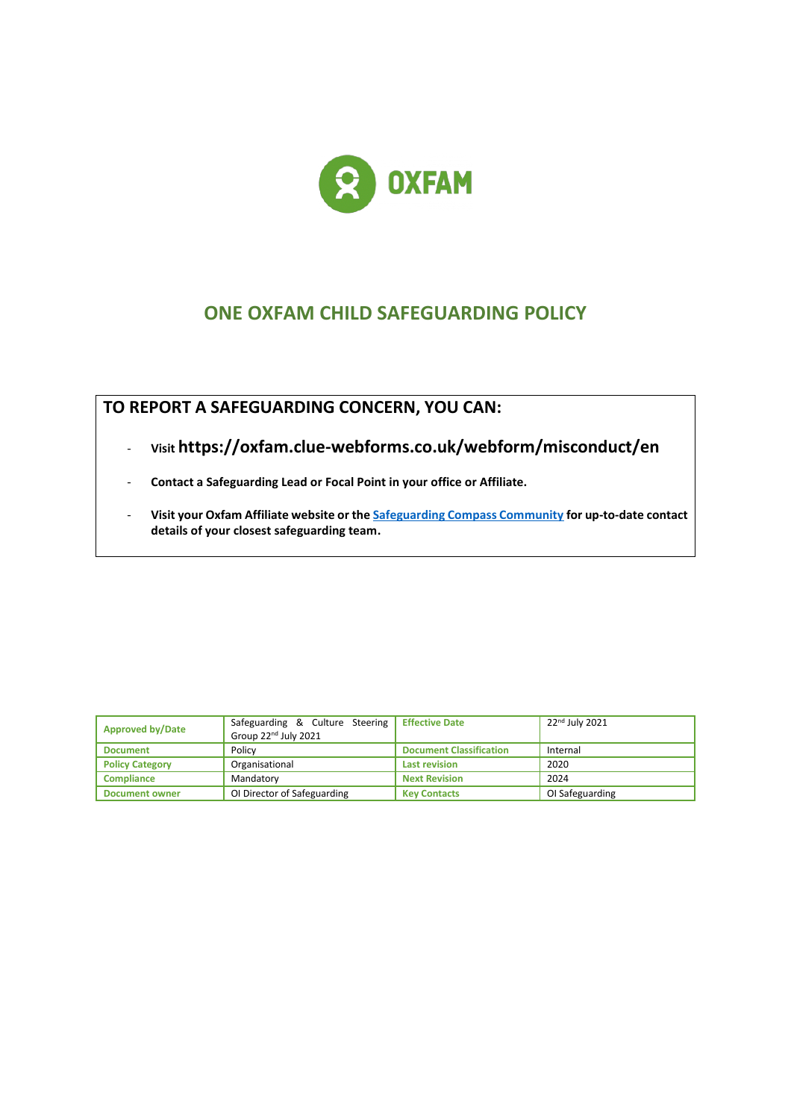

# **ONE OXFAM CHILD SAFEGUARDING POLICY**

**TO REPORT A SAFEGUARDING CONCERN, YOU CAN:**

- **Visit https://oxfam.clue-webforms.co.uk/webform/misconduct/en**
- **Contact a Safeguarding Lead or Focal Point in your office or Affiliate.**
- **Visit your Oxfam Affiliate website or th[e Safeguarding Compass Community](https://compass.oxfam.org/communities/safeguarding-community/wiki/reporting-safeguarding-concern) for up-to-date contact details of your closest safeguarding team.**

| <b>Approved by/Date</b> | Safeguarding & Culture Steering Effective Date<br>Group 22 <sup>nd</sup> July 2021 |                                | 22 <sup>nd</sup> July 2021 |
|-------------------------|------------------------------------------------------------------------------------|--------------------------------|----------------------------|
| <b>Document</b>         | Policy                                                                             | <b>Document Classification</b> | Internal                   |
| <b>Policy Category</b>  | Organisational                                                                     | <b>Last revision</b>           | 2020                       |
| <b>Compliance</b>       | Mandatory                                                                          | <b>Next Revision</b>           | 2024                       |
| <b>Document owner</b>   | OI Director of Safeguarding                                                        | <b>Key Contacts</b>            | OI Safeguarding            |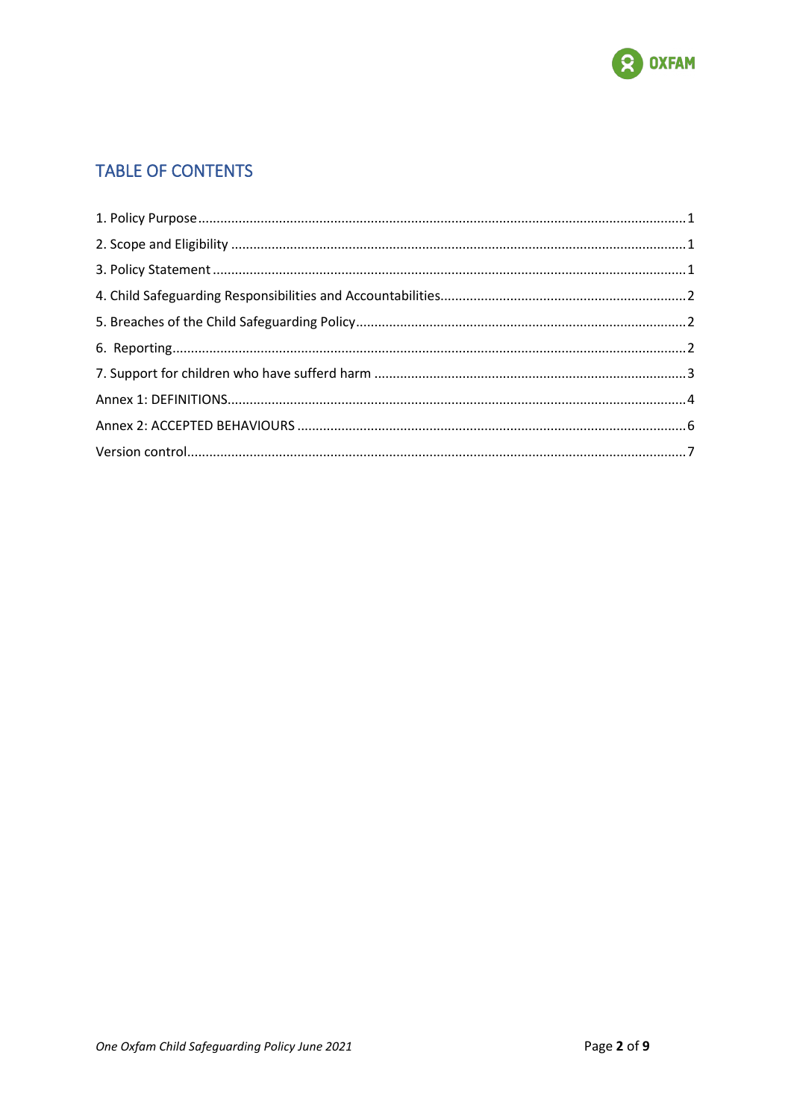

## **TABLE OF CONTENTS**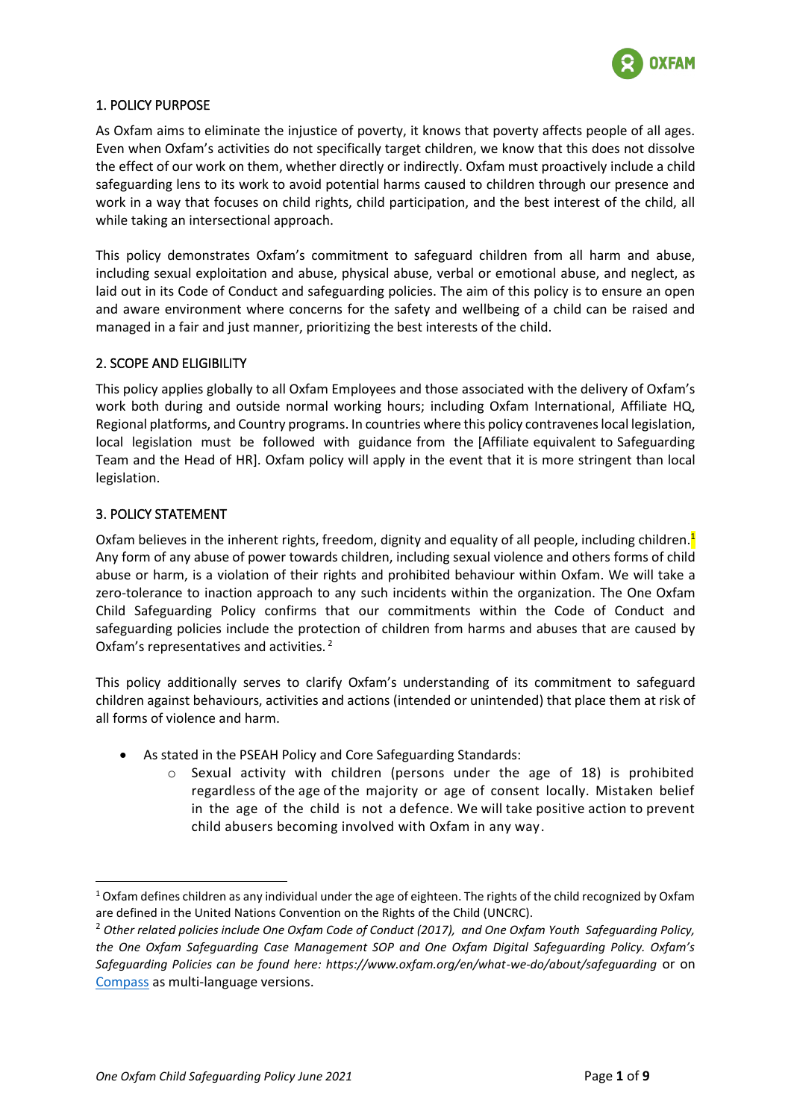

### <span id="page-2-0"></span>1. POLICY PURPOSE

As Oxfam aims to eliminate the injustice of poverty, it knows that poverty affects people of all ages. Even when Oxfam's activities do not specifically target children, we know that this does not dissolve the effect of our work on them, whether directly or indirectly. Oxfam must proactively include a child safeguarding lens to its work to avoid potential harms caused to children through our presence and work in a way that focuses on child rights, child participation, and the best interest of the child, all while taking an intersectional approach.

This policy demonstrates Oxfam's commitment to safeguard children from all harm and abuse, including sexual exploitation and abuse, physical abuse, verbal or emotional abuse, and neglect, as laid out in its Code of Conduct and safeguarding policies. The aim of this policy is to ensure an open and aware environment where concerns for the safety and wellbeing of a child can be raised and managed in a fair and just manner, prioritizing the best interests of the child.

#### <span id="page-2-1"></span>2. SCOPE AND ELIGIBILITY

This policy applies globally to all Oxfam Employees and those associated with the delivery of Oxfam's work both during and outside normal working hours; including Oxfam International, Affiliate HQ, Regional platforms, and Country programs. In countries where this policy contravenes local legislation, local legislation must be followed with guidance from the [Affiliate equivalent to Safeguarding Team and the Head of HR]. Oxfam policy will apply in the event that it is more stringent than local legislation.

#### <span id="page-2-2"></span>3. POLICY STATEMENT

Oxfam believes in the inherent rights, freedom, dignity and equality of all people, including children.<mark><sup>1</sup></mark> Any form of any abuse of power towards children, including sexual violence and others forms of child abuse or harm, is a violation of their rights and prohibited behaviour within Oxfam. We will take a zero-tolerance to inaction approach to any such incidents within the organization. The One Oxfam Child Safeguarding Policy confirms that our commitments within the Code of Conduct and safeguarding policies include the protection of children from harms and abuses that are caused by Oxfam's representatives and activities.  $2$ 

This policy additionally serves to clarify Oxfam's understanding of its commitment to safeguard children against behaviours, activities and actions (intended or unintended) that place them at risk of all forms of violence and harm.

- As stated in the PSEAH Policy and Core Safeguarding Standards:
	- $\circ$  Sexual activity with children (persons under the age of 18) is prohibited regardless of the age of the majority or age of consent locally. Mistaken belief in the age of the child is not a defence. We will take positive action to prevent child abusers becoming involved with Oxfam in any way.

 $1$  Oxfam defines children as any individual under the age of eighteen. The rights of the child recognized by Oxfam are defined in the United Nations Convention on the Rights of the Child (UNCRC).

<sup>2</sup> *Other related policies include One Oxfam Code of Conduct (2017), and One Oxfam Youth Safeguarding Policy, the One Oxfam Safeguarding Case Management SOP and One Oxfam Digital Safeguarding Policy. Oxfam's Safeguarding Policies can be found here: https://www.oxfam.org/en/what-we-do/about/safeguarding* or on [Compass](https://compass.oxfam.org/communities/safeguarding-community/wiki/one-oxfam-safeguarding-documents) as multi-language versions.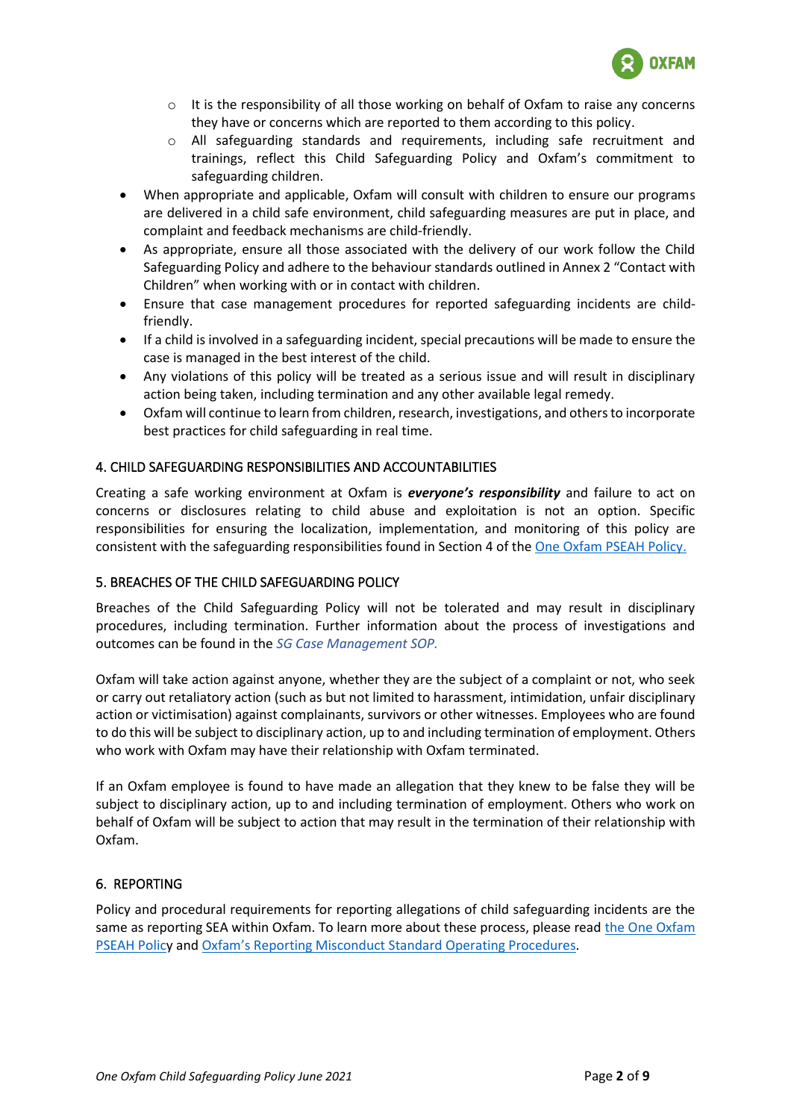

- $\circ$  It is the responsibility of all those working on behalf of Oxfam to raise any concerns they have or concerns which are reported to them according to this policy.
- o All safeguarding standards and requirements, including safe recruitment and trainings, reflect this Child Safeguarding Policy and Oxfam's commitment to safeguarding children.
- When appropriate and applicable, Oxfam will consult with children to ensure our programs are delivered in a child safe environment, child safeguarding measures are put in place, and complaint and feedback mechanisms are child-friendly.
- As appropriate, ensure all those associated with the delivery of our work follow the Child Safeguarding Policy and adhere to the behaviour standards outlined in Annex 2 "Contact with Children" when working with or in contact with children.
- Ensure that case management procedures for reported safeguarding incidents are childfriendly.
- If a child is involved in a safeguarding incident, special precautions will be made to ensure the case is managed in the best interest of the child.
- Any violations of this policy will be treated as a serious issue and will result in disciplinary action being taken, including termination and any other available legal remedy.
- Oxfam will continue to learn from children, research, investigations, and others to incorporate best practices for child safeguarding in real time.

## <span id="page-3-0"></span>4. CHILD SAFEGUARDING RESPONSIBILITIES AND ACCOUNTABILITIES

Creating a safe working environment at Oxfam is *everyone's responsibility* and failure to act on concerns or disclosures relating to child abuse and exploitation is not an option. Specific responsibilities for ensuring the localization, implementation, and monitoring of this policy are consistent with the safeguarding responsibilities found in Section 4 of th[e One Oxfam PSEAH Policy.](https://compass.oxfam.org/communities/safeguarding-community/wiki/one-oxfam-safeguarding-documents)

## <span id="page-3-1"></span>5. BREACHES OF THE CHILD SAFEGUARDING POLICY

Breaches of the Child Safeguarding Policy will not be tolerated and may result in disciplinary procedures, including termination. Further information about the process of investigations and outcomes can be found in the *SG Case Management SOP.*

Oxfam will take action against anyone, whether they are the subject of a complaint or not, who seek or carry out retaliatory action (such as but not limited to harassment, intimidation, unfair disciplinary action or victimisation) against complainants, survivors or other witnesses. Employees who are found to do this will be subject to disciplinary action, up to and including termination of employment. Others who work with Oxfam may have their relationship with Oxfam terminated.

If an Oxfam employee is found to have made an allegation that they knew to be false they will be subject to disciplinary action, up to and including termination of employment. Others who work on behalf of Oxfam will be subject to action that may result in the termination of their relationship with Oxfam.

## <span id="page-3-2"></span>6. REPORTING

Policy and procedural requirements for reporting allegations of child safeguarding incidents are the same as reporting SEA within Oxfam. To learn more about these process, please read the One Oxfam [PSEAH Policy](https://compass.oxfam.org/communities/safeguarding-community/wiki/one-oxfam-safeguarding-documents) and [Oxfam's Reporting Misconduct S](https://compass.oxfam.org/communities/safeguarding-community/wiki/one-oxfam-safeguarding-documents)tandard Operating Procedures.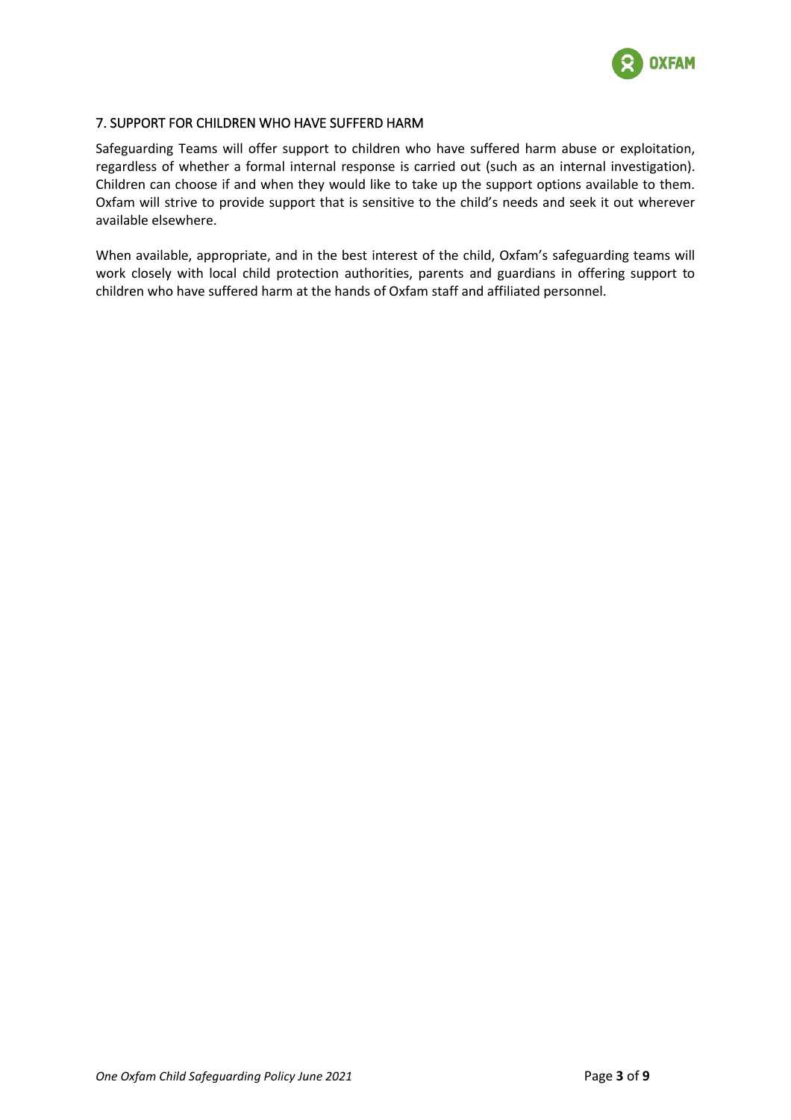

### <span id="page-4-0"></span>7. SUPPORT FOR CHILDREN WHO HAVE SUFFERD HARM

Safeguarding Teams will offer support to children who have suffered harm abuse or exploitation, regardless of whether a formal internal response is carried out (such as an internal investigation). Children can choose if and when they would like to take up the support options available to them. Oxfam will strive to provide support that is sensitive to the child's needs and seek it out wherever available elsewhere.

When available, appropriate, and in the best interest of the child, Oxfam's safeguarding teams will work closely with local child protection authorities, parents and guardians in offering support to children who have suffered harm at the hands of Oxfam staff and affiliated personnel.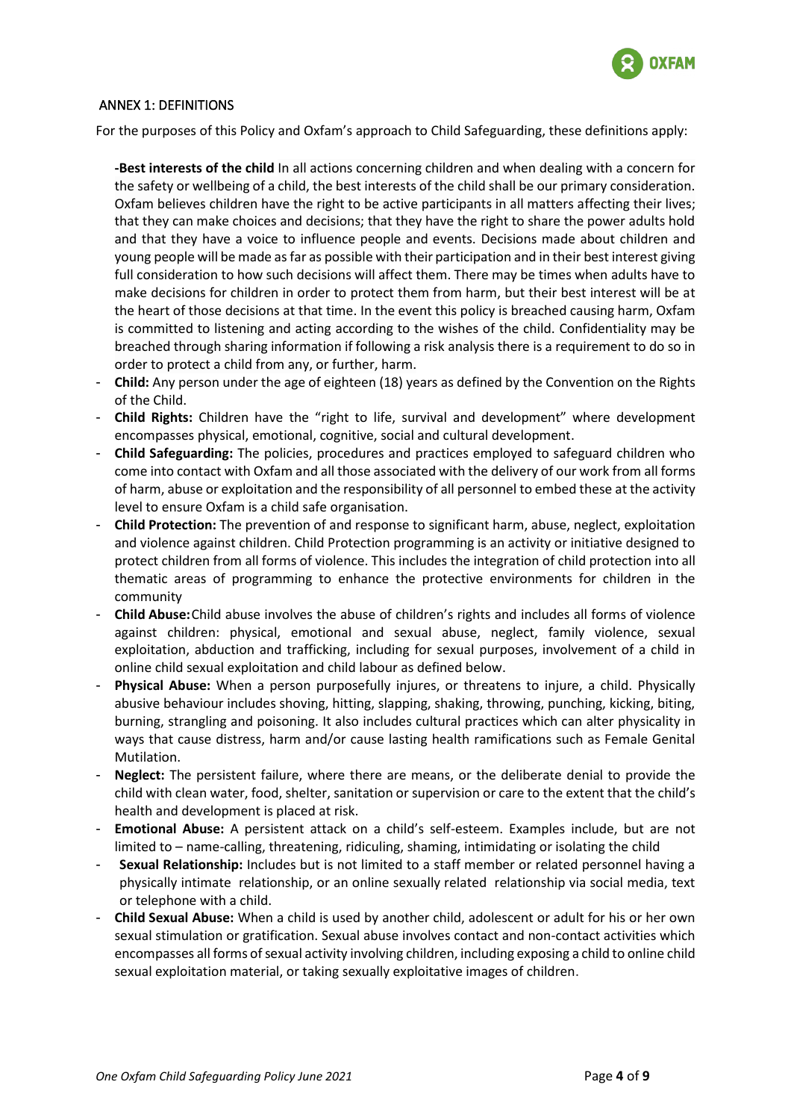

#### <span id="page-5-0"></span>ANNEX 1: DEFINITIONS

For the purposes of this Policy and Oxfam's approach to Child Safeguarding, these definitions apply:

- **-Best interests of the child** In all actions concerning children and when dealing with a concern for the safety or wellbeing of a child, the best interests of the child shall be our primary consideration. Oxfam believes children have the right to be active participants in all matters affecting their lives; that they can make choices and decisions; that they have the right to share the power adults hold and that they have a voice to influence people and events. Decisions made about children and young people will be made as far as possible with their participation and in their best interest giving full consideration to how such decisions will affect them. There may be times when adults have to make decisions for children in order to protect them from harm, but their best interest will be at the heart of those decisions at that time. In the event this policy is breached causing harm, Oxfam is committed to listening and acting according to the wishes of the child. Confidentiality may be breached through sharing information if following a risk analysis there is a requirement to do so in order to protect a child from any, or further, harm.
- **Child:** Any person under the age of eighteen (18) years as defined by the Convention on the Rights of the Child.
- **Child Rights:** Children have the "right to life, survival and development" where development encompasses physical, emotional, cognitive, social and cultural development.
- **Child Safeguarding:** The policies, procedures and practices employed to safeguard children who come into contact with Oxfam and all those associated with the delivery of our work from all forms of harm, abuse or exploitation and the responsibility of all personnel to embed these at the activity level to ensure Oxfam is a child safe organisation.
- **Child Protection:** The prevention of and response to significant harm, abuse, neglect, exploitation and violence against children. Child Protection programming is an activity or initiative designed to protect children from all forms of violence. This includes the integration of child protection into all thematic areas of programming to enhance the protective environments for children in the community
- **Child Abuse:**Child abuse involves the abuse of children's rights and includes all forms of violence against children: physical, emotional and sexual abuse, neglect, family violence, sexual exploitation, abduction and trafficking, including for sexual purposes, involvement of a child in online child sexual exploitation and child labour as defined below.
- **Physical Abuse:** When a person purposefully injures, or threatens to injure, a child. Physically abusive behaviour includes shoving, hitting, slapping, shaking, throwing, punching, kicking, biting, burning, strangling and poisoning. It also includes cultural practices which can alter physicality in ways that cause distress, harm and/or cause lasting health ramifications such as Female Genital Mutilation.
- **Neglect:** The persistent failure, where there are means, or the deliberate denial to provide the child with clean water, food, shelter, sanitation or supervision or care to the extent that the child's health and development is placed at risk.
- **Emotional Abuse:** A persistent attack on a child's self-esteem. Examples include, but are not limited to – name-calling, threatening, ridiculing, shaming, intimidating or isolating the child
- **Sexual Relationship:** Includes but is not limited to a staff member or related personnel having a physically intimate relationship, or an online sexually related relationship via social media, text or telephone with a child.
- **Child Sexual Abuse:** When a child is used by another child, adolescent or adult for his or her own sexual stimulation or gratification. Sexual abuse involves contact and non-contact activities which encompasses all forms of sexual activity involving children, including exposing a child to online child sexual exploitation material, or taking sexually exploitative images of children.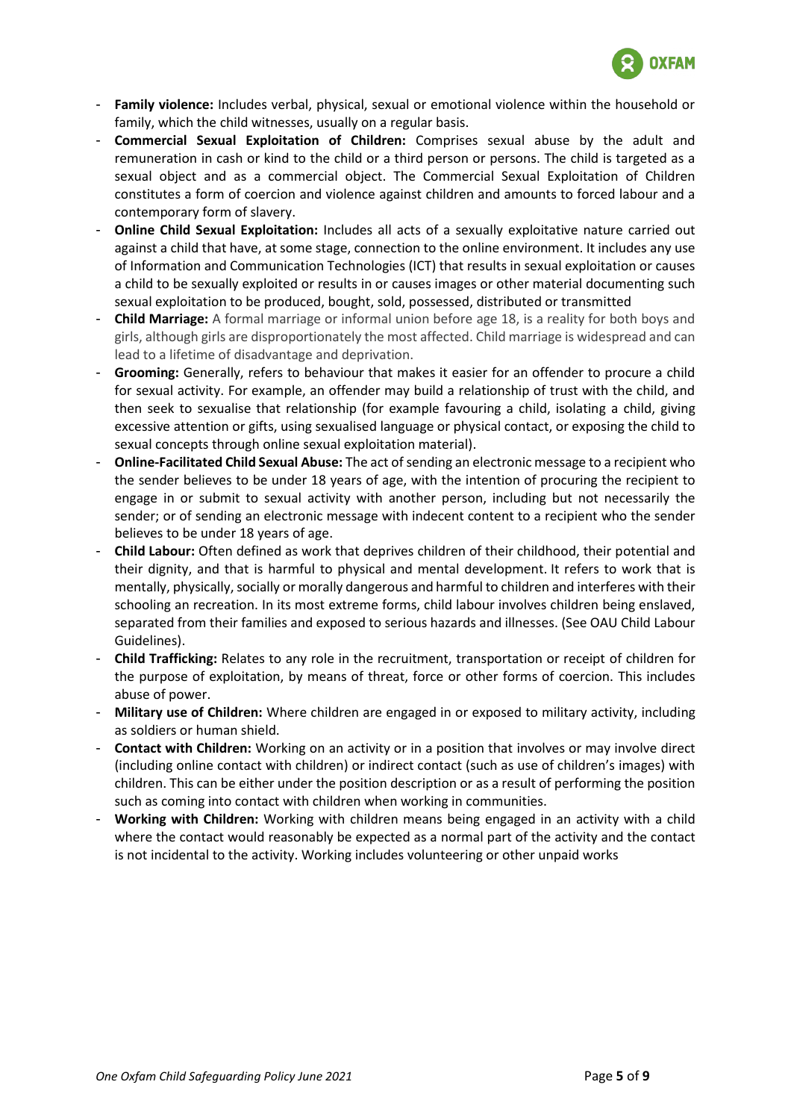

- **Family violence:** Includes verbal, physical, sexual or emotional violence within the household or family, which the child witnesses, usually on a regular basis.
- **Commercial Sexual Exploitation of Children:** Comprises sexual abuse by the adult and remuneration in cash or kind to the child or a third person or persons. The child is targeted as a sexual object and as a commercial object. The Commercial Sexual Exploitation of Children constitutes a form of coercion and violence against children and amounts to forced labour and a contemporary form of slavery.
- **Online Child Sexual Exploitation:** Includes all acts of a sexually exploitative nature carried out against a child that have, at some stage, connection to the online environment. It includes any use of Information and Communication Technologies (ICT) that results in sexual exploitation or causes a child to be sexually exploited or results in or causes images or other material documenting such sexual exploitation to be produced, bought, sold, possessed, distributed or transmitted
- **Child Marriage:** A formal marriage or informal union before age 18, is a reality for both boys and girls, although girls are disproportionately the most affected. Child marriage is widespread and can lead to a lifetime of disadvantage and deprivation.
- **Grooming:** Generally, refers to behaviour that makes it easier for an offender to procure a child for sexual activity. For example, an offender may build a relationship of trust with the child, and then seek to sexualise that relationship (for example favouring a child, isolating a child, giving excessive attention or gifts, using sexualised language or physical contact, or exposing the child to sexual concepts through online sexual exploitation material).
- **Online-Facilitated Child Sexual Abuse:** The act of sending an electronic message to a recipient who the sender believes to be under 18 years of age, with the intention of procuring the recipient to engage in or submit to sexual activity with another person, including but not necessarily the sender; or of sending an electronic message with indecent content to a recipient who the sender believes to be under 18 years of age.
- **Child Labour:** Often defined as work that deprives children of their childhood, their potential and their dignity, and that is harmful to physical and mental development. It refers to work that is mentally, physically, socially or morally dangerous and harmful to children and interferes with their schooling an recreation. In its most extreme forms, child labour involves children being enslaved, separated from their families and exposed to serious hazards and illnesses. (See OAU Child Labour Guidelines).
- **Child Trafficking:** Relates to any role in the recruitment, transportation or receipt of children for the purpose of exploitation, by means of threat, force or other forms of coercion. This includes abuse of power.
- **Military use of Children:** Where children are engaged in or exposed to military activity, including as soldiers or human shield.
- **Contact with Children:** Working on an activity or in a position that involves or may involve direct (including online contact with children) or indirect contact (such as use of children's images) with children. This can be either under the position description or as a result of performing the position such as coming into contact with children when working in communities.
- **Working with Children:** Working with children means being engaged in an activity with a child where the contact would reasonably be expected as a normal part of the activity and the contact is not incidental to the activity. Working includes volunteering or other unpaid works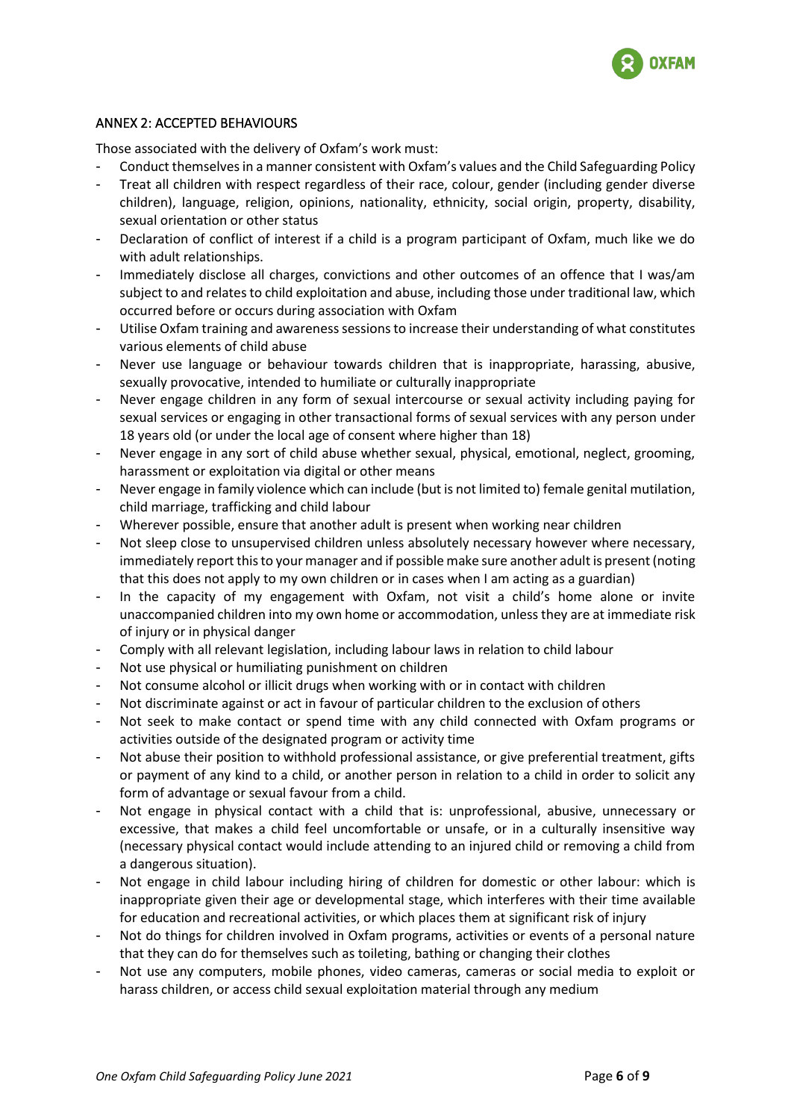

#### <span id="page-7-0"></span>ANNEX 2: ACCEPTED BEHAVIOURS

Those associated with the delivery of Oxfam's work must:

- Conduct themselves in a manner consistent with Oxfam's values and the Child Safeguarding Policy
- Treat all children with respect regardless of their race, colour, gender (including gender diverse children), language, religion, opinions, nationality, ethnicity, social origin, property, disability, sexual orientation or other status
- Declaration of conflict of interest if a child is a program participant of Oxfam, much like we do with adult relationships.
- Immediately disclose all charges, convictions and other outcomes of an offence that I was/am subject to and relates to child exploitation and abuse, including those under traditional law, which occurred before or occurs during association with Oxfam
- Utilise Oxfam training and awareness sessions to increase their understanding of what constitutes various elements of child abuse
- Never use language or behaviour towards children that is inappropriate, harassing, abusive, sexually provocative, intended to humiliate or culturally inappropriate
- Never engage children in any form of sexual intercourse or sexual activity including paying for sexual services or engaging in other transactional forms of sexual services with any person under 18 years old (or under the local age of consent where higher than 18)
- Never engage in any sort of child abuse whether sexual, physical, emotional, neglect, grooming, harassment or exploitation via digital or other means
- Never engage in family violence which can include (but is not limited to) female genital mutilation, child marriage, trafficking and child labour
- Wherever possible, ensure that another adult is present when working near children
- Not sleep close to unsupervised children unless absolutely necessary however where necessary, immediately report this to your manager and if possible make sure another adult is present (noting that this does not apply to my own children or in cases when I am acting as a guardian)
- In the capacity of my engagement with Oxfam, not visit a child's home alone or invite unaccompanied children into my own home or accommodation, unless they are at immediate risk of injury or in physical danger
- Comply with all relevant legislation, including labour laws in relation to child labour
- Not use physical or humiliating punishment on children
- Not consume alcohol or illicit drugs when working with or in contact with children
- Not discriminate against or act in favour of particular children to the exclusion of others
- Not seek to make contact or spend time with any child connected with Oxfam programs or activities outside of the designated program or activity time
- Not abuse their position to withhold professional assistance, or give preferential treatment, gifts or payment of any kind to a child, or another person in relation to a child in order to solicit any form of advantage or sexual favour from a child.
- Not engage in physical contact with a child that is: unprofessional, abusive, unnecessary or excessive, that makes a child feel uncomfortable or unsafe, or in a culturally insensitive way (necessary physical contact would include attending to an injured child or removing a child from a dangerous situation).
- Not engage in child labour including hiring of children for domestic or other labour: which is inappropriate given their age or developmental stage, which interferes with their time available for education and recreational activities, or which places them at significant risk of injury
- Not do things for children involved in Oxfam programs, activities or events of a personal nature that they can do for themselves such as toileting, bathing or changing their clothes
- Not use any computers, mobile phones, video cameras, cameras or social media to exploit or harass children, or access child sexual exploitation material through any medium